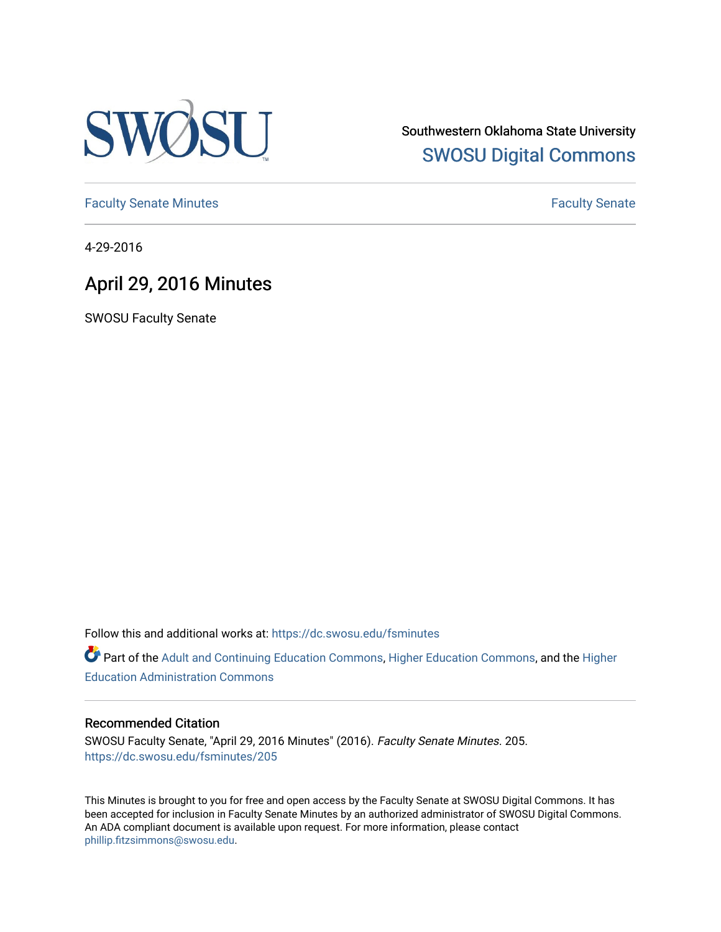

Southwestern Oklahoma State University [SWOSU Digital Commons](https://dc.swosu.edu/) 

[Faculty Senate Minutes](https://dc.swosu.edu/fsminutes) **Faculty** Senate Minutes

4-29-2016

# April 29, 2016 Minutes

SWOSU Faculty Senate

Follow this and additional works at: [https://dc.swosu.edu/fsminutes](https://dc.swosu.edu/fsminutes?utm_source=dc.swosu.edu%2Ffsminutes%2F205&utm_medium=PDF&utm_campaign=PDFCoverPages) 

Part of the [Adult and Continuing Education Commons,](http://network.bepress.com/hgg/discipline/1375?utm_source=dc.swosu.edu%2Ffsminutes%2F205&utm_medium=PDF&utm_campaign=PDFCoverPages) [Higher Education Commons,](http://network.bepress.com/hgg/discipline/1245?utm_source=dc.swosu.edu%2Ffsminutes%2F205&utm_medium=PDF&utm_campaign=PDFCoverPages) and the [Higher](http://network.bepress.com/hgg/discipline/791?utm_source=dc.swosu.edu%2Ffsminutes%2F205&utm_medium=PDF&utm_campaign=PDFCoverPages) [Education Administration Commons](http://network.bepress.com/hgg/discipline/791?utm_source=dc.swosu.edu%2Ffsminutes%2F205&utm_medium=PDF&utm_campaign=PDFCoverPages) 

#### Recommended Citation

SWOSU Faculty Senate, "April 29, 2016 Minutes" (2016). Faculty Senate Minutes. 205. [https://dc.swosu.edu/fsminutes/205](https://dc.swosu.edu/fsminutes/205?utm_source=dc.swosu.edu%2Ffsminutes%2F205&utm_medium=PDF&utm_campaign=PDFCoverPages) 

This Minutes is brought to you for free and open access by the Faculty Senate at SWOSU Digital Commons. It has been accepted for inclusion in Faculty Senate Minutes by an authorized administrator of SWOSU Digital Commons. An ADA compliant document is available upon request. For more information, please contact [phillip.fitzsimmons@swosu.edu](mailto:phillip.fitzsimmons@swosu.edu).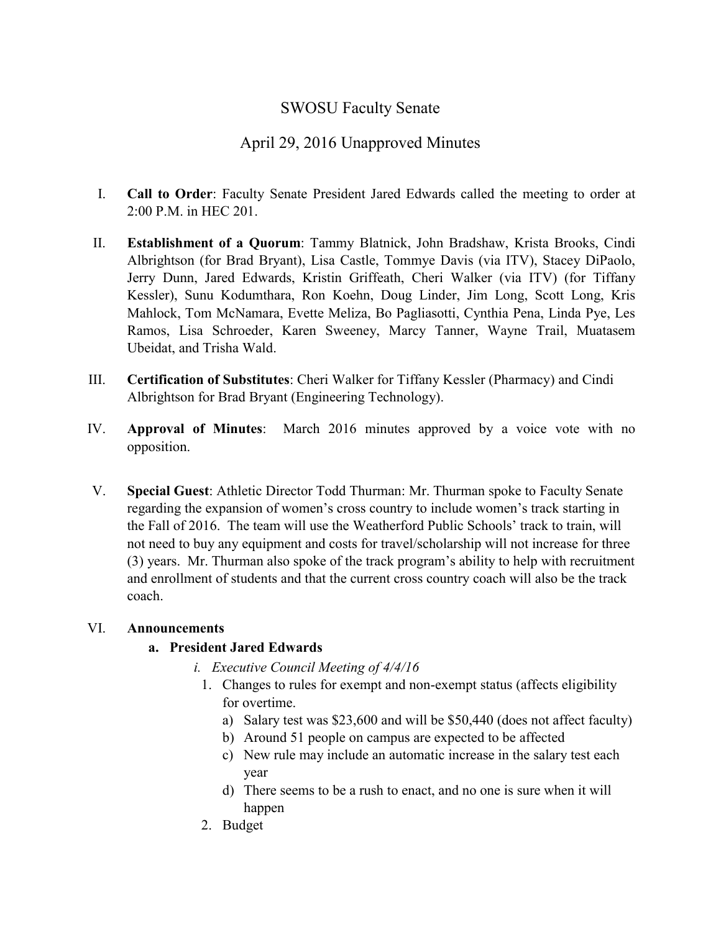# SWOSU Faculty Senate

# April 29, 2016 Unapproved Minutes

- I. **Call to Order**: Faculty Senate President Jared Edwards called the meeting to order at 2:00 P.M. in HEC 201.
- II. **Establishment of a Quorum**: Tammy Blatnick, John Bradshaw, Krista Brooks, Cindi Albrightson (for Brad Bryant), Lisa Castle, Tommye Davis (via ITV), Stacey DiPaolo, Jerry Dunn, Jared Edwards, Kristin Griffeath, Cheri Walker (via ITV) (for Tiffany Kessler), Sunu Kodumthara, Ron Koehn, Doug Linder, Jim Long, Scott Long, Kris Mahlock, Tom McNamara, Evette Meliza, Bo Pagliasotti, Cynthia Pena, Linda Pye, Les Ramos, Lisa Schroeder, Karen Sweeney, Marcy Tanner, Wayne Trail, Muatasem Ubeidat, and Trisha Wald.
- III. **Certification of Substitutes**: Cheri Walker for Tiffany Kessler (Pharmacy) and Cindi Albrightson for Brad Bryant (Engineering Technology).
- IV. **Approval of Minutes**: March 2016 minutes approved by a voice vote with no opposition.
- V. **Special Guest**: Athletic Director Todd Thurman: Mr. Thurman spoke to Faculty Senate regarding the expansion of women's cross country to include women's track starting in the Fall of 2016. The team will use the Weatherford Public Schools' track to train, will not need to buy any equipment and costs for travel/scholarship will not increase for three (3) years. Mr. Thurman also spoke of the track program's ability to help with recruitment and enrollment of students and that the current cross country coach will also be the track coach.

# VI. **Announcements**

# **a. President Jared Edwards**

- *i. Executive Council Meeting of 4/4/16*
	- 1. Changes to rules for exempt and non-exempt status (affects eligibility for overtime.
		- a) Salary test was \$23,600 and will be \$50,440 (does not affect faculty)
		- b) Around 51 people on campus are expected to be affected
		- c) New rule may include an automatic increase in the salary test each year
		- d) There seems to be a rush to enact, and no one is sure when it will happen
	- 2. Budget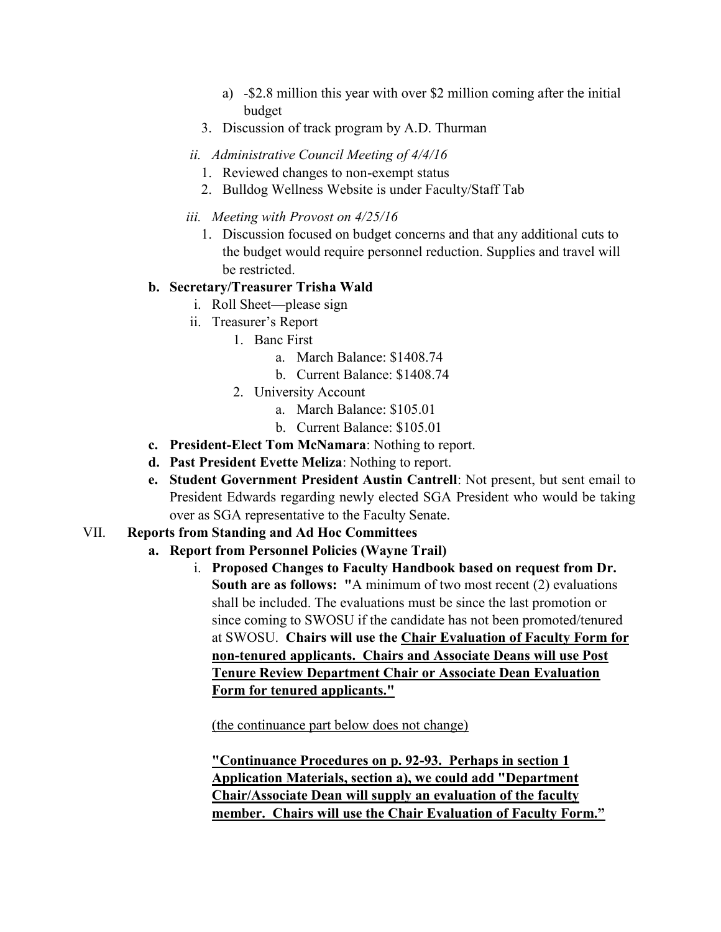- a) -\$2.8 million this year with over \$2 million coming after the initial budget
- 3. Discussion of track program by A.D. Thurman
- *ii. Administrative Council Meeting of 4/4/16*
	- 1. Reviewed changes to non-exempt status
	- 2. Bulldog Wellness Website is under Faculty/Staff Tab
- *iii. Meeting with Provost on 4/25/16*
	- 1. Discussion focused on budget concerns and that any additional cuts to the budget would require personnel reduction. Supplies and travel will be restricted.

# **b. Secretary/Treasurer Trisha Wald**

- i. Roll Sheet—please sign
- ii. Treasurer's Report
	- 1. Banc First
		- a. March Balance: \$1408.74
		- b. Current Balance: \$1408.74
		- 2. University Account
			- a. March Balance: \$105.01
			- b. Current Balance: \$105.01
- **c. President-Elect Tom McNamara**: Nothing to report.
- **d. Past President Evette Meliza**: Nothing to report.
- **e. Student Government President Austin Cantrell**: Not present, but sent email to President Edwards regarding newly elected SGA President who would be taking over as SGA representative to the Faculty Senate.

# VII. **Reports from Standing and Ad Hoc Committees**

# **a. Report from Personnel Policies (Wayne Trail)**

i. **Proposed Changes to Faculty Handbook based on request from Dr. South are as follows: "**A minimum of two most recent (2) evaluations shall be included. The evaluations must be since the last promotion or since coming to SWOSU if the candidate has not been promoted/tenured at SWOSU. **Chairs will use the Chair Evaluation of Faculty Form for non-tenured applicants. Chairs and Associate Deans will use Post Tenure Review Department Chair or Associate Dean Evaluation Form for tenured applicants."**

(the continuance part below does not change)

**"Continuance Procedures on p. 92-93. Perhaps in section 1 Application Materials, section a), we could add "Department Chair/Associate Dean will supply an evaluation of the faculty member. Chairs will use the Chair Evaluation of Faculty Form."**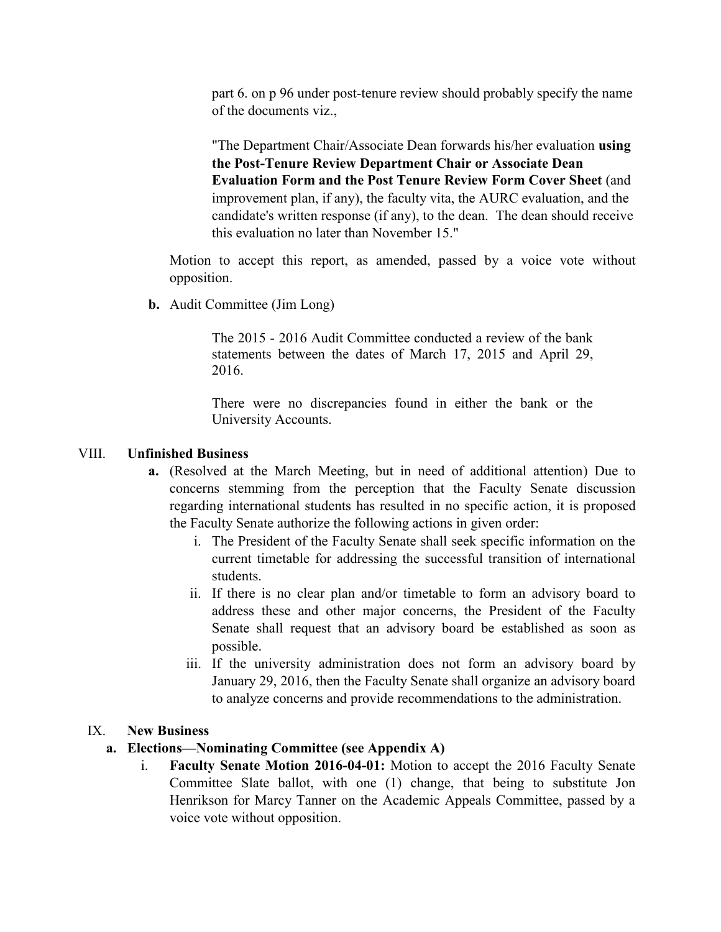part 6. on p 96 under post-tenure review should probably specify the name of the documents viz.,

"The Department Chair/Associate Dean forwards his/her evaluation **using the Post-Tenure Review Department Chair or Associate Dean Evaluation Form and the Post Tenure Review Form Cover Sheet** (and improvement plan, if any), the faculty vita, the AURC evaluation, and the candidate's written response (if any), to the dean. The dean should receive this evaluation no later than November 15."

Motion to accept this report, as amended, passed by a voice vote without opposition.

**b.** Audit Committee (Jim Long)

The 2015 - 2016 Audit Committee conducted a review of the bank statements between the dates of March 17, 2015 and April 29, 2016.

There were no discrepancies found in either the bank or the University Accounts.

#### VIII. **Unfinished Business**

- **a.** (Resolved at the March Meeting, but in need of additional attention) Due to concerns stemming from the perception that the Faculty Senate discussion regarding international students has resulted in no specific action, it is proposed the Faculty Senate authorize the following actions in given order:
	- i. The President of the Faculty Senate shall seek specific information on the current timetable for addressing the successful transition of international students.
	- ii. If there is no clear plan and/or timetable to form an advisory board to address these and other major concerns, the President of the Faculty Senate shall request that an advisory board be established as soon as possible.
	- iii. If the university administration does not form an advisory board by January 29, 2016, then the Faculty Senate shall organize an advisory board to analyze concerns and provide recommendations to the administration.

#### IX. **New Business**

### **a. Elections—Nominating Committee (see Appendix A)**

i. **Faculty Senate Motion 2016-04-01:** Motion to accept the 2016 Faculty Senate Committee Slate ballot, with one (1) change, that being to substitute Jon Henrikson for Marcy Tanner on the Academic Appeals Committee, passed by a voice vote without opposition.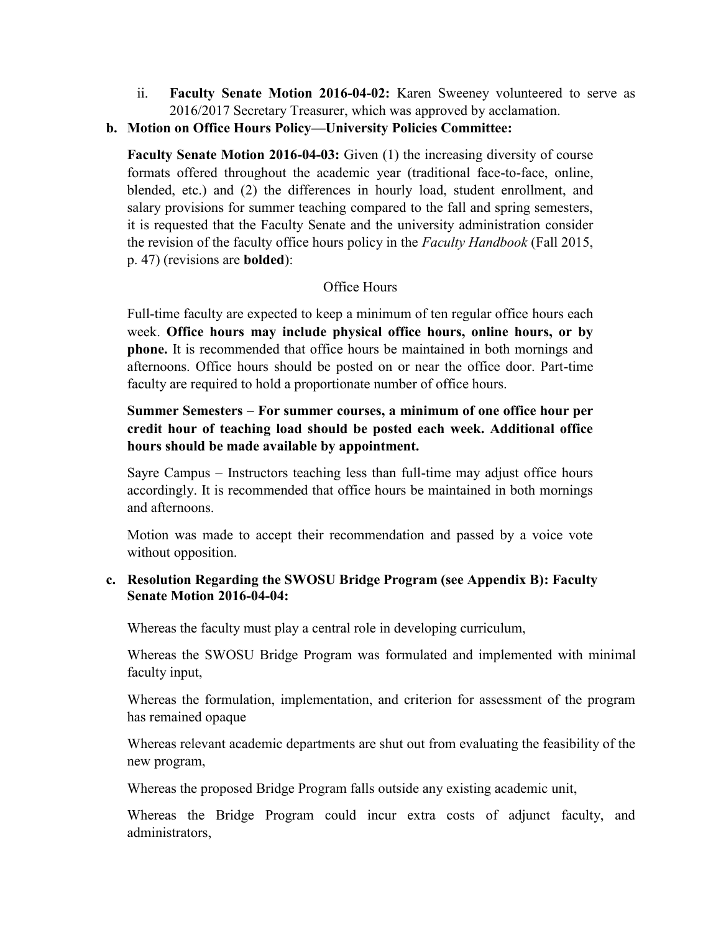- ii. **Faculty Senate Motion 2016-04-02:** Karen Sweeney volunteered to serve as 2016/2017 Secretary Treasurer, which was approved by acclamation.
- **b. Motion on Office Hours Policy—University Policies Committee:**

**Faculty Senate Motion 2016-04-03:** Given (1) the increasing diversity of course formats offered throughout the academic year (traditional face-to-face, online, blended, etc.) and (2) the differences in hourly load, student enrollment, and salary provisions for summer teaching compared to the fall and spring semesters, it is requested that the Faculty Senate and the university administration consider the revision of the faculty office hours policy in the *Faculty Handbook* (Fall 2015, p. 47) (revisions are **bolded**):

### Office Hours

Full-time faculty are expected to keep a minimum of ten regular office hours each week. **Office hours may include physical office hours, online hours, or by phone.** It is recommended that office hours be maintained in both mornings and afternoons. Office hours should be posted on or near the office door. Part-time faculty are required to hold a proportionate number of office hours.

# **Summer Semesters** – **For summer courses, a minimum of one office hour per credit hour of teaching load should be posted each week. Additional office hours should be made available by appointment.**

Sayre Campus – Instructors teaching less than full-time may adjust office hours accordingly. It is recommended that office hours be maintained in both mornings and afternoons.

Motion was made to accept their recommendation and passed by a voice vote without opposition.

### **c. Resolution Regarding the SWOSU Bridge Program (see Appendix B): Faculty Senate Motion 2016-04-04:**

Whereas the faculty must play a central role in developing curriculum,

Whereas the SWOSU Bridge Program was formulated and implemented with minimal faculty input,

Whereas the formulation, implementation, and criterion for assessment of the program has remained opaque

Whereas relevant academic departments are shut out from evaluating the feasibility of the new program,

Whereas the proposed Bridge Program falls outside any existing academic unit,

Whereas the Bridge Program could incur extra costs of adjunct faculty, and administrators,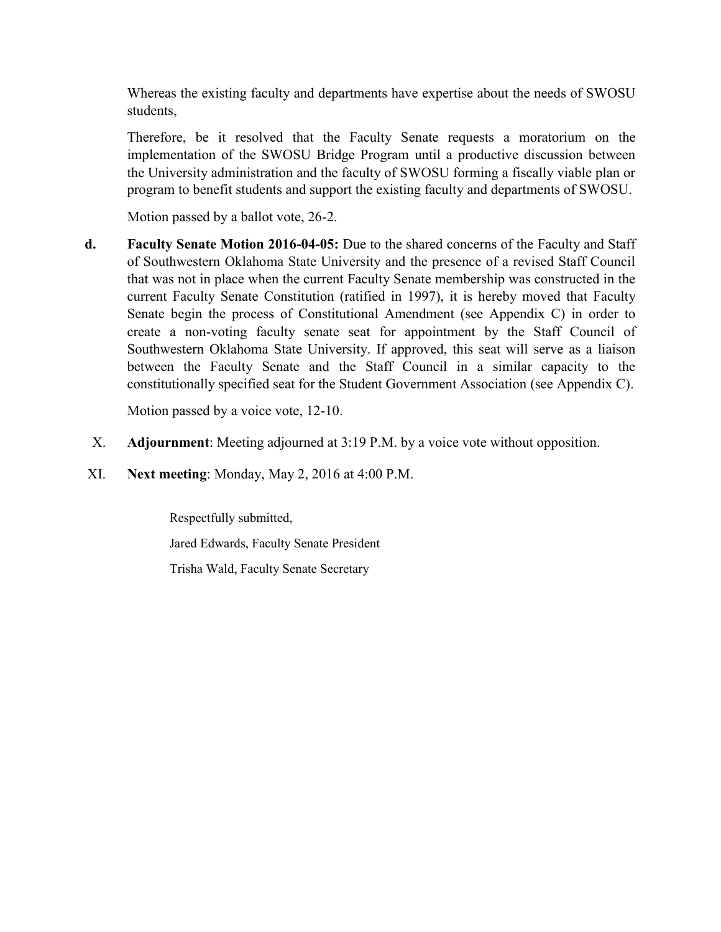Whereas the existing faculty and departments have expertise about the needs of SWOSU students,

Therefore, be it resolved that the Faculty Senate requests a moratorium on the implementation of the SWOSU Bridge Program until a productive discussion between the University administration and the faculty of SWOSU forming a fiscally viable plan or program to benefit students and support the existing faculty and departments of SWOSU.

Motion passed by a ballot vote, 26-2.

**d. Faculty Senate Motion 2016-04-05:** Due to the shared concerns of the Faculty and Staff of Southwestern Oklahoma State University and the presence of a revised Staff Council that was not in place when the current Faculty Senate membership was constructed in the current Faculty Senate Constitution (ratified in 1997), it is hereby moved that Faculty Senate begin the process of Constitutional Amendment (see Appendix C) in order to create a non-voting faculty senate seat for appointment by the Staff Council of Southwestern Oklahoma State University. If approved, this seat will serve as a liaison between the Faculty Senate and the Staff Council in a similar capacity to the constitutionally specified seat for the Student Government Association (see Appendix C).

Motion passed by a voice vote, 12-10.

- X. **Adjournment**: Meeting adjourned at 3:19 P.M. by a voice vote without opposition.
- XI. **Next meeting**: Monday, May 2, 2016 at 4:00 P.M.

Respectfully submitted, Jared Edwards, Faculty Senate President Trisha Wald, Faculty Senate Secretary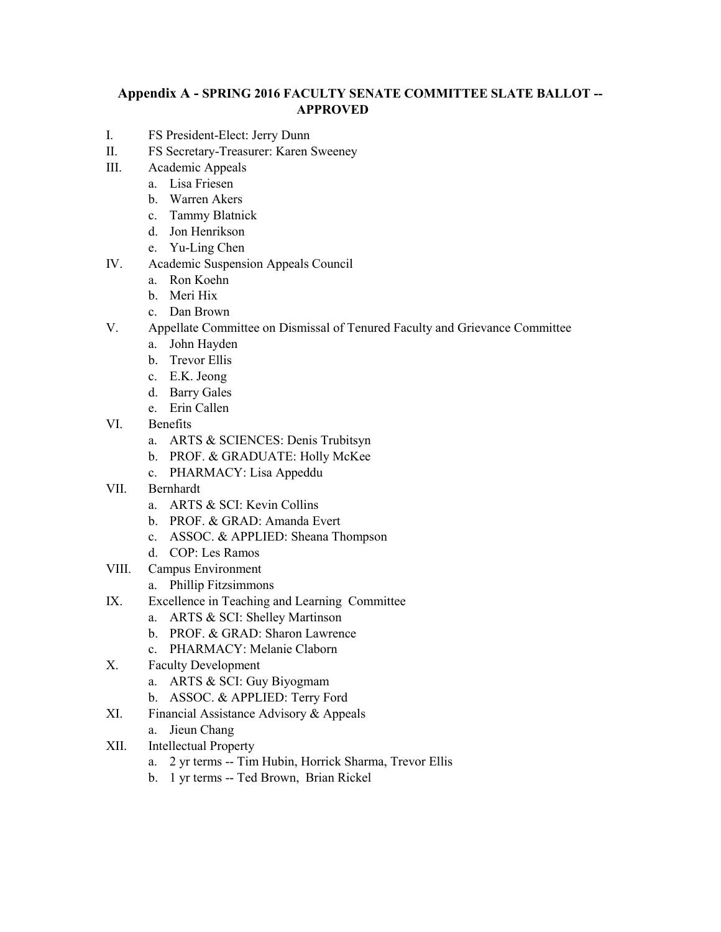### **Appendix A - SPRING 2016 FACULTY SENATE COMMITTEE SLATE BALLOT -- APPROVED**

- I. FS President-Elect: Jerry Dunn
- II. FS Secretary-Treasurer: Karen Sweeney
- III. Academic Appeals
	- a. Lisa Friesen
		- b. Warren Akers
		- c. Tammy Blatnick
		- d. Jon Henrikson
		- e. Yu-Ling Chen
- IV. Academic Suspension Appeals Council
	- a. Ron Koehn
	- b. Meri Hix
	- c. Dan Brown
- V. Appellate Committee on Dismissal of Tenured Faculty and Grievance Committee
	- a. John Hayden
	- b. Trevor Ellis
	- c. E.K. Jeong
	- d. Barry Gales
	- e. Erin Callen
- VI. Benefits
	- a. ARTS & SCIENCES: Denis Trubitsyn
	- b. PROF. & GRADUATE: Holly McKee
	- c. PHARMACY: Lisa Appeddu
- VII. Bernhardt
	- a. ARTS & SCI: Kevin Collins
	- b. PROF. & GRAD: Amanda Evert
	- c. ASSOC. & APPLIED: Sheana Thompson
	- d. COP: Les Ramos
- VIII. Campus Environment
	- a. Phillip Fitzsimmons
- IX. Excellence in Teaching and Learning Committee
	- a. ARTS & SCI: Shelley Martinson
	- b. PROF. & GRAD: Sharon Lawrence
	- c. PHARMACY: Melanie Claborn
- X. Faculty Development
	- a. ARTS & SCI: Guy Biyogmam
	- b. ASSOC. & APPLIED: Terry Ford
- XI. Financial Assistance Advisory & Appeals
	- a. Jieun Chang
- XII. Intellectual Property
	- a. 2 yr terms -- Tim Hubin, Horrick Sharma, Trevor Ellis
	- b. 1 yr terms -- Ted Brown, Brian Rickel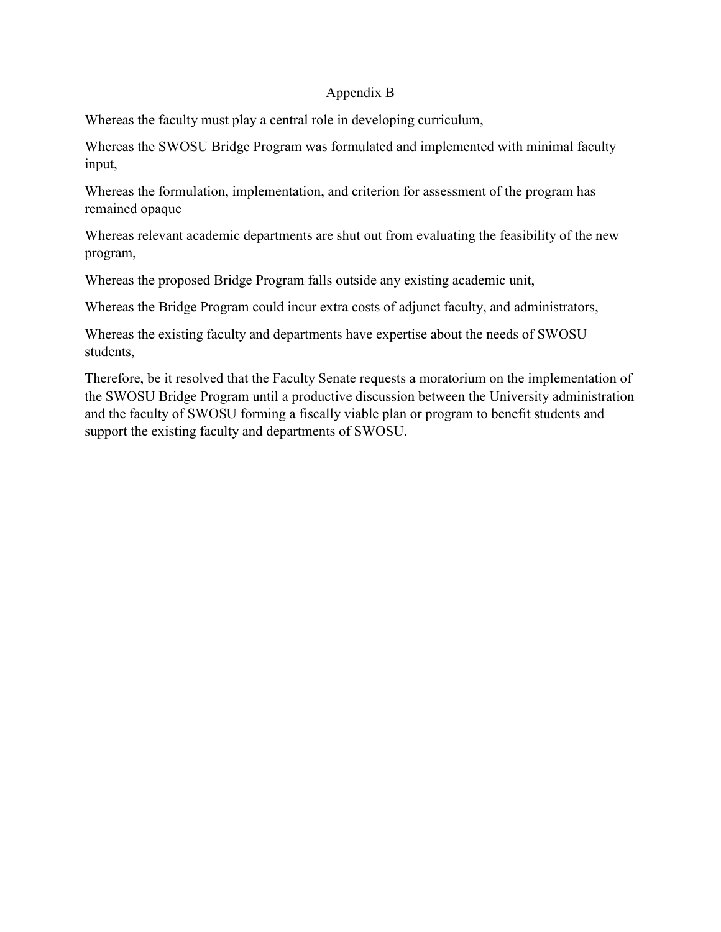### Appendix B

Whereas the faculty must play a central role in developing curriculum,

Whereas the SWOSU Bridge Program was formulated and implemented with minimal faculty input,

Whereas the formulation, implementation, and criterion for assessment of the program has remained opaque

Whereas relevant academic departments are shut out from evaluating the feasibility of the new program,

Whereas the proposed Bridge Program falls outside any existing academic unit,

Whereas the Bridge Program could incur extra costs of adjunct faculty, and administrators,

Whereas the existing faculty and departments have expertise about the needs of SWOSU students,

Therefore, be it resolved that the Faculty Senate requests a moratorium on the implementation of the SWOSU Bridge Program until a productive discussion between the University administration and the faculty of SWOSU forming a fiscally viable plan or program to benefit students and support the existing faculty and departments of SWOSU.